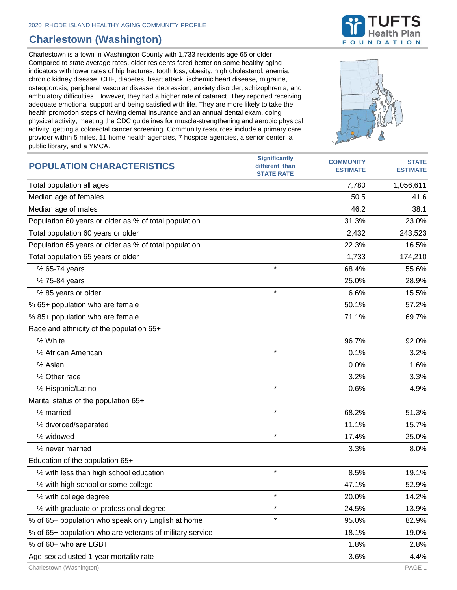## **Charlestown (Washington)**

Charlestown is a town in Washington County with 1,733 residents age 65 or older. Compared to state average rates, older residents fared better on some healthy aging indicators with lower rates of hip fractures, tooth loss, obesity, high cholesterol, anemia, chronic kidney disease, CHF, diabetes, heart attack, ischemic heart disease, migraine, osteoporosis, peripheral vascular disease, depression, anxiety disorder, schizophrenia, and ambulatory difficulties. However, they had a higher rate of cataract. They reported receiving adequate emotional support and being satisfied with life. They are more likely to take the health promotion steps of having dental insurance and an annual dental exam, doing physical activity, meeting the CDC guidelines for muscle-strengthening and aerobic physical activity, getting a colorectal cancer screening. Community resources include a primary care provider within 5 miles, 11 home health agencies, 7 hospice agencies, a senior center, a public library, and a YMCA.







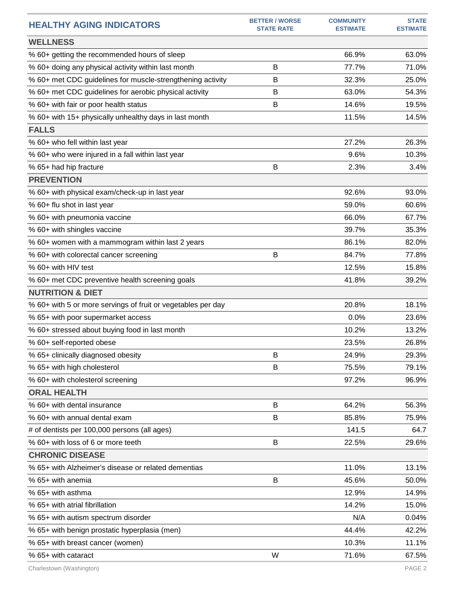| <b>HEALTHY AGING INDICATORS</b>                              | <b>BETTER / WORSE</b><br><b>STATE RATE</b> | <b>COMMUNITY</b><br><b>ESTIMATE</b> | <b>STATE</b><br><b>ESTIMATE</b> |
|--------------------------------------------------------------|--------------------------------------------|-------------------------------------|---------------------------------|
| <b>WELLNESS</b>                                              |                                            |                                     |                                 |
| % 60+ getting the recommended hours of sleep                 |                                            | 66.9%                               | 63.0%                           |
| % 60+ doing any physical activity within last month          | B                                          | 77.7%                               | 71.0%                           |
| % 60+ met CDC guidelines for muscle-strengthening activity   | В                                          | 32.3%                               | 25.0%                           |
| % 60+ met CDC guidelines for aerobic physical activity       | В                                          | 63.0%                               | 54.3%                           |
| % 60+ with fair or poor health status                        | B                                          | 14.6%                               | 19.5%                           |
| % 60+ with 15+ physically unhealthy days in last month       |                                            | 11.5%                               | 14.5%                           |
| <b>FALLS</b>                                                 |                                            |                                     |                                 |
| % 60+ who fell within last year                              |                                            | 27.2%                               | 26.3%                           |
| % 60+ who were injured in a fall within last year            |                                            | 9.6%                                | 10.3%                           |
| % 65+ had hip fracture                                       | B                                          | 2.3%                                | 3.4%                            |
| <b>PREVENTION</b>                                            |                                            |                                     |                                 |
| % 60+ with physical exam/check-up in last year               |                                            | 92.6%                               | 93.0%                           |
| % 60+ flu shot in last year                                  |                                            | 59.0%                               | 60.6%                           |
| % 60+ with pneumonia vaccine                                 |                                            | 66.0%                               | 67.7%                           |
| % 60+ with shingles vaccine                                  |                                            | 39.7%                               | 35.3%                           |
| % 60+ women with a mammogram within last 2 years             |                                            | 86.1%                               | 82.0%                           |
| % 60+ with colorectal cancer screening                       | B                                          | 84.7%                               | 77.8%                           |
| % 60+ with HIV test                                          |                                            | 12.5%                               | 15.8%                           |
| % 60+ met CDC preventive health screening goals              |                                            | 41.8%                               | 39.2%                           |
| <b>NUTRITION &amp; DIET</b>                                  |                                            |                                     |                                 |
| % 60+ with 5 or more servings of fruit or vegetables per day |                                            | 20.8%                               | 18.1%                           |
| % 65+ with poor supermarket access                           |                                            | 0.0%                                | 23.6%                           |
| % 60+ stressed about buying food in last month               |                                            | 10.2%                               | 13.2%                           |
| % 60+ self-reported obese                                    |                                            | 23.5%                               | 26.8%                           |
| % 65+ clinically diagnosed obesity                           | В                                          | 24.9%                               | 29.3%                           |
| % 65+ with high cholesterol                                  | B                                          | 75.5%                               | 79.1%                           |
| % 60+ with cholesterol screening                             |                                            | 97.2%                               | 96.9%                           |
| <b>ORAL HEALTH</b>                                           |                                            |                                     |                                 |
| % 60+ with dental insurance                                  | B                                          | 64.2%                               | 56.3%                           |
| % 60+ with annual dental exam                                | B                                          | 85.8%                               | 75.9%                           |
| # of dentists per 100,000 persons (all ages)                 |                                            | 141.5                               | 64.7                            |
| % 60+ with loss of 6 or more teeth                           | B                                          | 22.5%                               | 29.6%                           |
| <b>CHRONIC DISEASE</b>                                       |                                            |                                     |                                 |
| % 65+ with Alzheimer's disease or related dementias          |                                            | 11.0%                               | 13.1%                           |
| % 65+ with anemia                                            | B                                          | 45.6%                               | 50.0%                           |
| % 65+ with asthma                                            |                                            | 12.9%                               | 14.9%                           |
| % 65+ with atrial fibrillation                               |                                            | 14.2%                               | 15.0%                           |
| % 65+ with autism spectrum disorder                          |                                            | N/A                                 | 0.04%                           |
| % 65+ with benign prostatic hyperplasia (men)                |                                            | 44.4%                               | 42.2%                           |
| % 65+ with breast cancer (women)                             |                                            | 10.3%                               | 11.1%                           |
| % 65+ with cataract                                          | W                                          | 71.6%                               | 67.5%                           |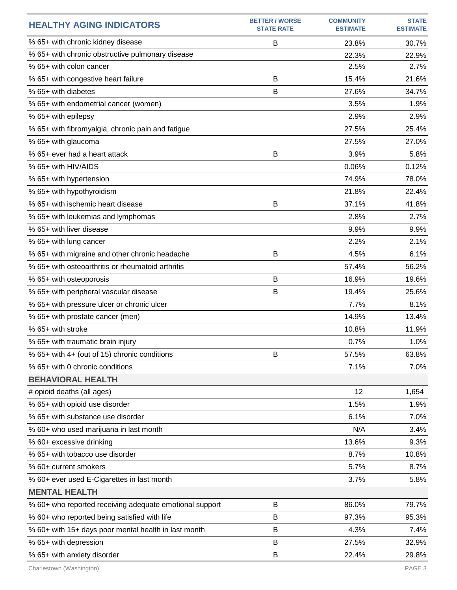| <b>HEALTHY AGING INDICATORS</b>                         | <b>BETTER / WORSE</b><br><b>STATE RATE</b> | <b>COMMUNITY</b><br><b>ESTIMATE</b> | <b>STATE</b><br><b>ESTIMATE</b> |
|---------------------------------------------------------|--------------------------------------------|-------------------------------------|---------------------------------|
| % 65+ with chronic kidney disease                       | B                                          | 23.8%                               | 30.7%                           |
| % 65+ with chronic obstructive pulmonary disease        |                                            | 22.3%                               | 22.9%                           |
| % 65+ with colon cancer                                 |                                            | 2.5%                                | 2.7%                            |
| % 65+ with congestive heart failure                     | B                                          | 15.4%                               | 21.6%                           |
| % 65+ with diabetes                                     | B                                          | 27.6%                               | 34.7%                           |
| % 65+ with endometrial cancer (women)                   |                                            | 3.5%                                | 1.9%                            |
| % 65+ with epilepsy                                     |                                            | 2.9%                                | 2.9%                            |
| % 65+ with fibromyalgia, chronic pain and fatigue       |                                            | 27.5%                               | 25.4%                           |
| % 65+ with glaucoma                                     |                                            | 27.5%                               | 27.0%                           |
| % 65+ ever had a heart attack                           | B                                          | 3.9%                                | 5.8%                            |
| % 65+ with HIV/AIDS                                     |                                            | 0.06%                               | 0.12%                           |
| % 65+ with hypertension                                 |                                            | 74.9%                               | 78.0%                           |
| % 65+ with hypothyroidism                               |                                            | 21.8%                               | 22.4%                           |
| % 65+ with ischemic heart disease                       | B                                          | 37.1%                               | 41.8%                           |
| % 65+ with leukemias and lymphomas                      |                                            | 2.8%                                | 2.7%                            |
| % 65+ with liver disease                                |                                            | 9.9%                                | 9.9%                            |
| % 65+ with lung cancer                                  |                                            | 2.2%                                | 2.1%                            |
| % 65+ with migraine and other chronic headache          | B                                          | 4.5%                                | 6.1%                            |
| % 65+ with osteoarthritis or rheumatoid arthritis       |                                            | 57.4%                               | 56.2%                           |
| % 65+ with osteoporosis                                 | B                                          | 16.9%                               | 19.6%                           |
| % 65+ with peripheral vascular disease                  | B                                          | 19.4%                               | 25.6%                           |
| % 65+ with pressure ulcer or chronic ulcer              |                                            | 7.7%                                | 8.1%                            |
| % 65+ with prostate cancer (men)                        |                                            | 14.9%                               | 13.4%                           |
| % 65+ with stroke                                       |                                            | 10.8%                               | 11.9%                           |
| % 65+ with traumatic brain injury                       |                                            | 0.7%                                | 1.0%                            |
| % 65+ with 4+ (out of 15) chronic conditions            | B                                          | 57.5%                               | 63.8%                           |
| % 65+ with 0 chronic conditions                         |                                            | 7.1%                                | 7.0%                            |
| <b>BEHAVIORAL HEALTH</b>                                |                                            |                                     |                                 |
| # opioid deaths (all ages)                              |                                            | 12                                  | 1,654                           |
| % 65+ with opioid use disorder                          |                                            | 1.5%                                | 1.9%                            |
| % 65+ with substance use disorder                       |                                            | 6.1%                                | 7.0%                            |
| % 60+ who used marijuana in last month                  |                                            | N/A                                 | 3.4%                            |
| % 60+ excessive drinking                                |                                            | 13.6%                               | 9.3%                            |
| % 65+ with tobacco use disorder                         |                                            | 8.7%                                | 10.8%                           |
| % 60+ current smokers                                   |                                            | 5.7%                                | 8.7%                            |
| % 60+ ever used E-Cigarettes in last month              |                                            | 3.7%                                | 5.8%                            |
| <b>MENTAL HEALTH</b>                                    |                                            |                                     |                                 |
| % 60+ who reported receiving adequate emotional support | B                                          | 86.0%                               | 79.7%                           |
| % 60+ who reported being satisfied with life            | B                                          | 97.3%                               | 95.3%                           |
| % 60+ with 15+ days poor mental health in last month    | B                                          | 4.3%                                | 7.4%                            |
| % 65+ with depression                                   | B                                          | 27.5%                               | 32.9%                           |
| % 65+ with anxiety disorder                             | B                                          | 22.4%                               | 29.8%                           |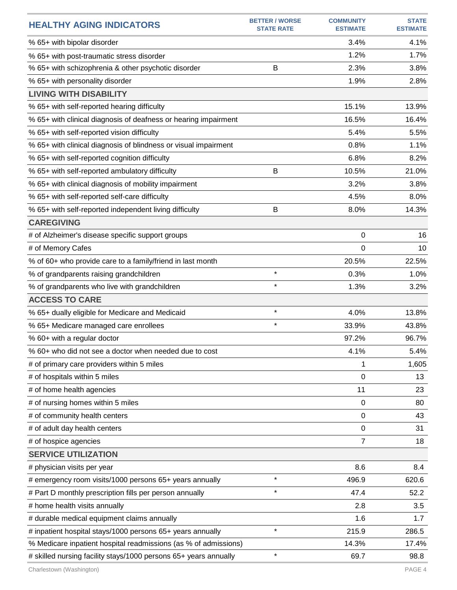| <b>HEALTHY AGING INDICATORS</b>                                  | <b>BETTER / WORSE</b><br><b>STATE RATE</b> | <b>COMMUNITY</b><br><b>ESTIMATE</b> | <b>STATE</b><br><b>ESTIMATE</b> |
|------------------------------------------------------------------|--------------------------------------------|-------------------------------------|---------------------------------|
| % 65+ with bipolar disorder                                      |                                            | 3.4%                                | 4.1%                            |
| % 65+ with post-traumatic stress disorder                        |                                            | 1.2%                                | 1.7%                            |
| % 65+ with schizophrenia & other psychotic disorder              | B                                          | 2.3%                                | 3.8%                            |
| % 65+ with personality disorder                                  |                                            | 1.9%                                | 2.8%                            |
| <b>LIVING WITH DISABILITY</b>                                    |                                            |                                     |                                 |
| % 65+ with self-reported hearing difficulty                      |                                            | 15.1%                               | 13.9%                           |
| % 65+ with clinical diagnosis of deafness or hearing impairment  |                                            | 16.5%                               | 16.4%                           |
| % 65+ with self-reported vision difficulty                       |                                            | 5.4%                                | 5.5%                            |
| % 65+ with clinical diagnosis of blindness or visual impairment  |                                            | 0.8%                                | 1.1%                            |
| % 65+ with self-reported cognition difficulty                    |                                            | 6.8%                                | 8.2%                            |
| % 65+ with self-reported ambulatory difficulty                   | B                                          | 10.5%                               | 21.0%                           |
| % 65+ with clinical diagnosis of mobility impairment             |                                            | 3.2%                                | 3.8%                            |
| % 65+ with self-reported self-care difficulty                    |                                            | 4.5%                                | 8.0%                            |
| % 65+ with self-reported independent living difficulty           | B                                          | 8.0%                                | 14.3%                           |
| <b>CAREGIVING</b>                                                |                                            |                                     |                                 |
| # of Alzheimer's disease specific support groups                 |                                            | 0                                   | 16                              |
| # of Memory Cafes                                                |                                            | 0                                   | 10                              |
| % of 60+ who provide care to a family/friend in last month       |                                            | 20.5%                               | 22.5%                           |
| % of grandparents raising grandchildren                          | $\star$                                    | 0.3%                                | 1.0%                            |
| % of grandparents who live with grandchildren                    | $\star$                                    | 1.3%                                | 3.2%                            |
| <b>ACCESS TO CARE</b>                                            |                                            |                                     |                                 |
| % 65+ dually eligible for Medicare and Medicaid                  | $\star$                                    | 4.0%                                | 13.8%                           |
| % 65+ Medicare managed care enrollees                            | $\star$                                    | 33.9%                               | 43.8%                           |
| % 60+ with a regular doctor                                      |                                            | 97.2%                               | 96.7%                           |
| % 60+ who did not see a doctor when needed due to cost           |                                            | 4.1%                                | 5.4%                            |
| # of primary care providers within 5 miles                       |                                            | 1                                   | 1,605                           |
| # of hospitals within 5 miles                                    |                                            | 0                                   | 13                              |
| # of home health agencies                                        |                                            | 11                                  | 23                              |
| # of nursing homes within 5 miles                                |                                            | $\mathbf 0$                         | 80                              |
| # of community health centers                                    |                                            | 0                                   | 43                              |
| # of adult day health centers                                    |                                            | 0                                   | 31                              |
| # of hospice agencies                                            |                                            | $\overline{7}$                      | 18                              |
| <b>SERVICE UTILIZATION</b>                                       |                                            |                                     |                                 |
| # physician visits per year                                      |                                            | 8.6                                 | 8.4                             |
| # emergency room visits/1000 persons 65+ years annually          | $\star$                                    | 496.9                               | 620.6                           |
| # Part D monthly prescription fills per person annually          | $\star$                                    | 47.4                                | 52.2                            |
| # home health visits annually                                    |                                            | 2.8                                 | 3.5                             |
| # durable medical equipment claims annually                      |                                            | 1.6                                 | 1.7                             |
| # inpatient hospital stays/1000 persons 65+ years annually       | $\star$                                    | 215.9                               | 286.5                           |
| % Medicare inpatient hospital readmissions (as % of admissions)  |                                            | 14.3%                               | 17.4%                           |
| # skilled nursing facility stays/1000 persons 65+ years annually | $\star$                                    | 69.7                                | 98.8                            |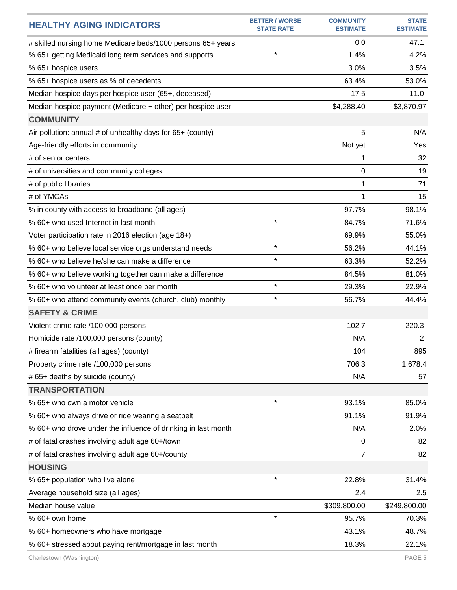| <b>HEALTHY AGING INDICATORS</b>                               | <b>BETTER / WORSE</b><br><b>STATE RATE</b> | <b>COMMUNITY</b><br><b>ESTIMATE</b> | <b>STATE</b><br><b>ESTIMATE</b> |
|---------------------------------------------------------------|--------------------------------------------|-------------------------------------|---------------------------------|
| # skilled nursing home Medicare beds/1000 persons 65+ years   |                                            | 0.0                                 | 47.1                            |
| % 65+ getting Medicaid long term services and supports        | $\star$                                    | 1.4%                                | 4.2%                            |
| % 65+ hospice users                                           |                                            | 3.0%                                | 3.5%                            |
| % 65+ hospice users as % of decedents                         |                                            | 63.4%                               | 53.0%                           |
| Median hospice days per hospice user (65+, deceased)          |                                            | 17.5                                | 11.0                            |
| Median hospice payment (Medicare + other) per hospice user    |                                            | \$4,288.40                          | \$3,870.97                      |
| <b>COMMUNITY</b>                                              |                                            |                                     |                                 |
| Air pollution: annual # of unhealthy days for 65+ (county)    |                                            | 5                                   | N/A                             |
| Age-friendly efforts in community                             |                                            | Not yet                             | Yes                             |
| # of senior centers                                           |                                            | 1                                   | 32                              |
| # of universities and community colleges                      |                                            | 0                                   | 19                              |
| # of public libraries                                         |                                            | 1                                   | 71                              |
| # of YMCAs                                                    |                                            | 1                                   | 15                              |
| % in county with access to broadband (all ages)               |                                            | 97.7%                               | 98.1%                           |
| % 60+ who used Internet in last month                         | $\star$                                    | 84.7%                               | 71.6%                           |
| Voter participation rate in 2016 election (age 18+)           |                                            | 69.9%                               | 55.0%                           |
| % 60+ who believe local service orgs understand needs         | $\star$                                    | 56.2%                               | 44.1%                           |
| % 60+ who believe he/she can make a difference                | $\star$                                    | 63.3%                               | 52.2%                           |
| % 60+ who believe working together can make a difference      |                                            | 84.5%                               | 81.0%                           |
| % 60+ who volunteer at least once per month                   | $\star$                                    | 29.3%                               | 22.9%                           |
| % 60+ who attend community events (church, club) monthly      | $\star$                                    | 56.7%                               | 44.4%                           |
| <b>SAFETY &amp; CRIME</b>                                     |                                            |                                     |                                 |
| Violent crime rate /100,000 persons                           |                                            | 102.7                               | 220.3                           |
| Homicide rate /100,000 persons (county)                       |                                            | N/A                                 | $\overline{2}$                  |
| # firearm fatalities (all ages) (county)                      |                                            | 104                                 | 895                             |
| Property crime rate /100,000 persons                          |                                            | 706.3                               | 1,678.4                         |
| # 65+ deaths by suicide (county)                              |                                            | N/A                                 | 57                              |
| <b>TRANSPORTATION</b>                                         |                                            |                                     |                                 |
| % 65+ who own a motor vehicle                                 | $\star$                                    | 93.1%                               | 85.0%                           |
| % 60+ who always drive or ride wearing a seatbelt             |                                            | 91.1%                               | 91.9%                           |
| % 60+ who drove under the influence of drinking in last month |                                            | N/A                                 | 2.0%                            |
| # of fatal crashes involving adult age 60+/town               |                                            | 0                                   | 82                              |
| # of fatal crashes involving adult age 60+/county             |                                            | 7                                   | 82                              |
| <b>HOUSING</b>                                                |                                            |                                     |                                 |
| % 65+ population who live alone                               | $\star$                                    | 22.8%                               | 31.4%                           |
| Average household size (all ages)                             |                                            | 2.4                                 | 2.5                             |
| Median house value                                            |                                            | \$309,800.00                        | \$249,800.00                    |
| % 60+ own home                                                | $\star$                                    | 95.7%                               | 70.3%                           |
| % 60+ homeowners who have mortgage                            |                                            | 43.1%                               | 48.7%                           |
| % 60+ stressed about paying rent/mortgage in last month       |                                            | 18.3%                               | 22.1%                           |